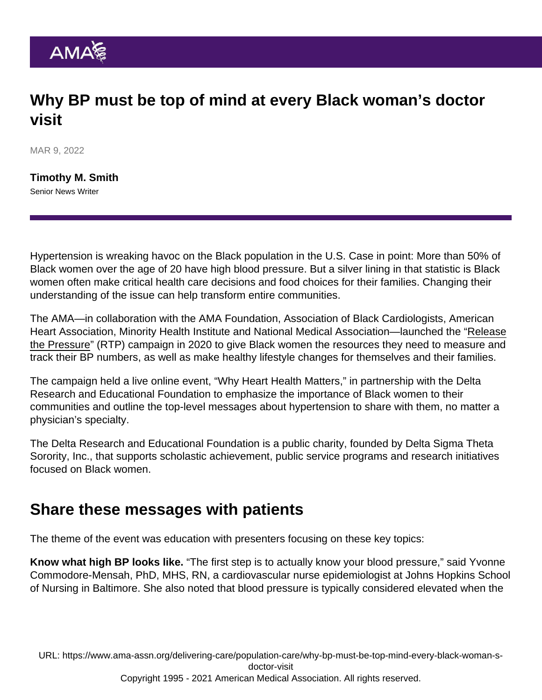## Why BP must be top of mind at every Black woman's doctor visit

MAR 9, 2022

[Timothy M. Smith](https://www.ama-assn.org/news-leadership-viewpoints/authors-news-leadership-viewpoints/timothy-m-smith) Senior News Writer

Hypertension is wreaking havoc on the Black population in the U.S. Case in point: More than 50% of Black women over the age of 20 have high blood pressure. But a silver lining in that statistic is Black women often make critical health care decisions and food choices for their families. Changing their understanding of the issue can help transform entire communities.

The AMA—in collaboration with the AMA Foundation, Association of Black Cardiologists, American Heart Association, Minority Health Institute and National Medical Association—launched the ["Release](https://releasethepressure.org/homecoming/) [the Pressure](https://releasethepressure.org/homecoming/)" (RTP) campaign in 2020 to give Black women the resources they need to measure and track their BP numbers, as well as make healthy lifestyle changes for themselves and their families.

The campaign held a live online event, ["Why Heart Health Matters](https://www.youtube.com/watch?v=WSSGsn8Ym48)," in partnership with the Delta Research and Educational Foundation to emphasize the importance of Black women to their communities and outline the top-level messages about hypertension to share with them, no matter a physician's specialty.

The Delta Research and Educational Foundation is a public charity, founded by Delta Sigma Theta Sorority, Inc., that supports scholastic achievement, public service programs and research initiatives focused on Black women.

## Share these messages with patients

The theme of the event was education with presenters focusing on these key topics:

Know what high BP looks like. "The first step is to actually know your blood pressure," said Yvonne Commodore-Mensah, PhD, MHS, RN, a cardiovascular nurse epidemiologist at Johns Hopkins School of Nursing in Baltimore. She also noted that blood pressure is typically considered elevated when the

URL: [https://www.ama-assn.org/delivering-care/population-care/why-bp-must-be-top-mind-every-black-woman-s](https://www.ama-assn.org/delivering-care/population-care/why-bp-must-be-top-mind-every-black-woman-s-doctor-visit)[doctor-visit](https://www.ama-assn.org/delivering-care/population-care/why-bp-must-be-top-mind-every-black-woman-s-doctor-visit) Copyright 1995 - 2021 American Medical Association. All rights reserved.